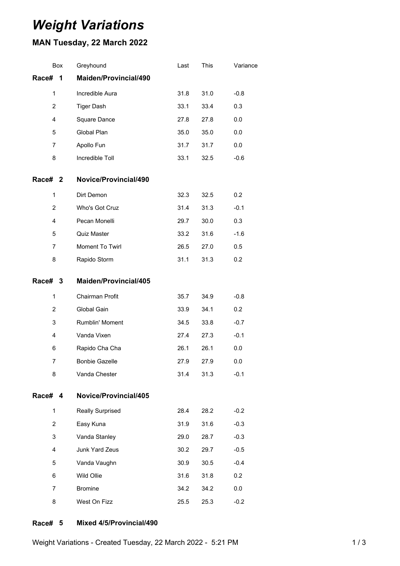# *Weight Variations*

### **MAN Tuesday, 22 March 2022**

|              | Box            | Greyhound             | Last | This | Variance |
|--------------|----------------|-----------------------|------|------|----------|
| Race#        | 1              | Maiden/Provincial/490 |      |      |          |
| $\mathbf{1}$ |                | Incredible Aura       | 31.8 | 31.0 | $-0.8$   |
|              | $\overline{c}$ | <b>Tiger Dash</b>     | 33.1 | 33.4 | 0.3      |
|              | 4              | Square Dance          | 27.8 | 27.8 | 0.0      |
|              | 5              | Global Plan           | 35.0 | 35.0 | 0.0      |
|              | 7              | Apollo Fun            | 31.7 | 31.7 | 0.0      |
|              | 8              | Incredible Toll       | 33.1 | 32.5 | $-0.6$   |
| Race# 2      |                | Novice/Provincial/490 |      |      |          |
| $\mathbf{1}$ |                | Dirt Demon            | 32.3 | 32.5 | 0.2      |
|              | 2              | Who's Got Cruz        | 31.4 | 31.3 | $-0.1$   |
|              | 4              | Pecan Monelli         | 29.7 | 30.0 | 0.3      |
|              | 5              | Quiz Master           | 33.2 | 31.6 | $-1.6$   |
|              | $\overline{7}$ | Moment To Twirl       | 26.5 | 27.0 | 0.5      |
|              | 8              | Rapido Storm          | 31.1 | 31.3 | 0.2      |
| <b>Race#</b> | 3              | Maiden/Provincial/405 |      |      |          |
| $\mathbf{1}$ |                | Chairman Profit       | 35.7 | 34.9 | $-0.8$   |
|              | $\overline{2}$ | Global Gain           | 33.9 | 34.1 | 0.2      |
|              | 3              | Rumblin' Moment       | 34.5 | 33.8 | $-0.7$   |
|              | 4              | Vanda Vixen           | 27.4 | 27.3 | $-0.1$   |
|              | 6              | Rapido Cha Cha        | 26.1 | 26.1 | 0.0      |
|              | 7              | <b>Bonbie Gazelle</b> | 27.9 | 27.9 | 0.0      |
|              | 8              | Vanda Chester         | 31.4 | 31.3 | $-0.1$   |
| <b>Race#</b> | 4              | Novice/Provincial/405 |      |      |          |
|              | $\mathbf{1}$   | Really Surprised      | 28.4 | 28.2 | $-0.2$   |
|              | $\overline{2}$ | Easy Kuna             | 31.9 | 31.6 | $-0.3$   |
|              | 3              | Vanda Stanley         | 29.0 | 28.7 | $-0.3$   |
|              | 4              | Junk Yard Zeus        | 30.2 | 29.7 | $-0.5$   |
|              | 5              | Vanda Vaughn          | 30.9 | 30.5 | $-0.4$   |
|              | 6              | Wild Ollie            | 31.6 | 31.8 | 0.2      |
|              | 7              | <b>Bromine</b>        | 34.2 | 34.2 | 0.0      |
|              | 8              | West On Fizz          | 25.5 | 25.3 | $-0.2$   |
|              |                |                       |      |      |          |

#### **Race# 5 Mixed 4/5/Provincial/490**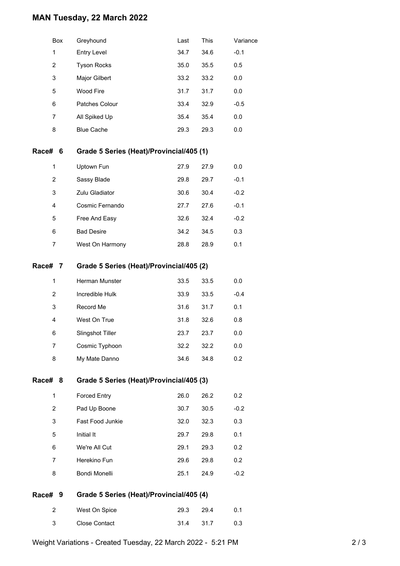### **MAN Tuesday, 22 March 2022**

|                | Box                                                 | Greyhound                                | Last | This | Variance |
|----------------|-----------------------------------------------------|------------------------------------------|------|------|----------|
| $\mathbf{1}$   |                                                     | <b>Entry Level</b>                       | 34.7 | 34.6 | $-0.1$   |
| 2              |                                                     | <b>Tyson Rocks</b>                       | 35.0 | 35.5 | 0.5      |
| 3              |                                                     | Major Gilbert                            | 33.2 | 33.2 | 0.0      |
| 5              |                                                     | Wood Fire                                | 31.7 | 31.7 | 0.0      |
| 6              |                                                     | Patches Colour                           | 33.4 | 32.9 | $-0.5$   |
| 7              |                                                     | All Spiked Up                            | 35.4 | 35.4 | 0.0      |
| 8              |                                                     | <b>Blue Cache</b>                        | 29.3 | 29.3 | 0.0      |
| Race# 6        |                                                     | Grade 5 Series (Heat)/Provincial/405 (1) |      |      |          |
| 1              |                                                     | Uptown Fun                               | 27.9 | 27.9 | 0.0      |
| 2              |                                                     | Sassy Blade                              | 29.8 | 29.7 | $-0.1$   |
| 3              |                                                     | Zulu Gladiator                           | 30.6 | 30.4 | $-0.2$   |
| 4              |                                                     | Cosmic Fernando                          | 27.7 | 27.6 | $-0.1$   |
| 5              |                                                     | Free And Easy                            | 32.6 | 32.4 | $-0.2$   |
| 6              |                                                     | <b>Bad Desire</b>                        | 34.2 | 34.5 | 0.3      |
| 7              |                                                     | West On Harmony                          | 28.8 | 28.9 | 0.1      |
|                | Race# 7<br>Grade 5 Series (Heat)/Provincial/405 (2) |                                          |      |      |          |
| $\mathbf 1$    |                                                     | Herman Munster                           | 33.5 | 33.5 | 0.0      |
| $\overline{2}$ |                                                     | Incredible Hulk                          | 33.9 | 33.5 | $-0.4$   |
| 3              |                                                     | Record Me                                | 31.6 | 31.7 | 0.1      |
| 4              |                                                     | West On True                             | 31.8 | 32.6 | 0.8      |
| 6              |                                                     | Slingshot Tiller                         | 23.7 | 23.7 | 0.0      |
| 7              |                                                     | Cosmic Typhoon                           | 32.2 | 32.2 | 0.0      |
| 8              |                                                     | My Mate Danno                            | 34.6 | 34.8 | 0.2      |
| Race# 8        |                                                     | Grade 5 Series (Heat)/Provincial/405 (3) |      |      |          |
| 1              |                                                     | <b>Forced Entry</b>                      | 26.0 | 26.2 | 0.2      |
| $\overline{2}$ |                                                     | Pad Up Boone                             | 30.7 | 30.5 | $-0.2$   |
| 3              |                                                     | Fast Food Junkie                         | 32.0 | 32.3 | 0.3      |
| 5              |                                                     | Initial It                               | 29.7 | 29.8 | 0.1      |
| 6              |                                                     | We're All Cut                            | 29.1 | 29.3 | 0.2      |
| 7              |                                                     | Herekino Fun                             | 29.6 | 29.8 | 0.2      |
| 8              |                                                     | Bondi Monelli                            | 25.1 | 24.9 | $-0.2$   |
| Race# 9        |                                                     | Grade 5 Series (Heat)/Provincial/405 (4) |      |      |          |
| 2              |                                                     | West On Spice                            | 29.3 | 29.4 | 0.1      |
| 3              |                                                     | Close Contact                            | 31.4 | 31.7 | 0.3      |